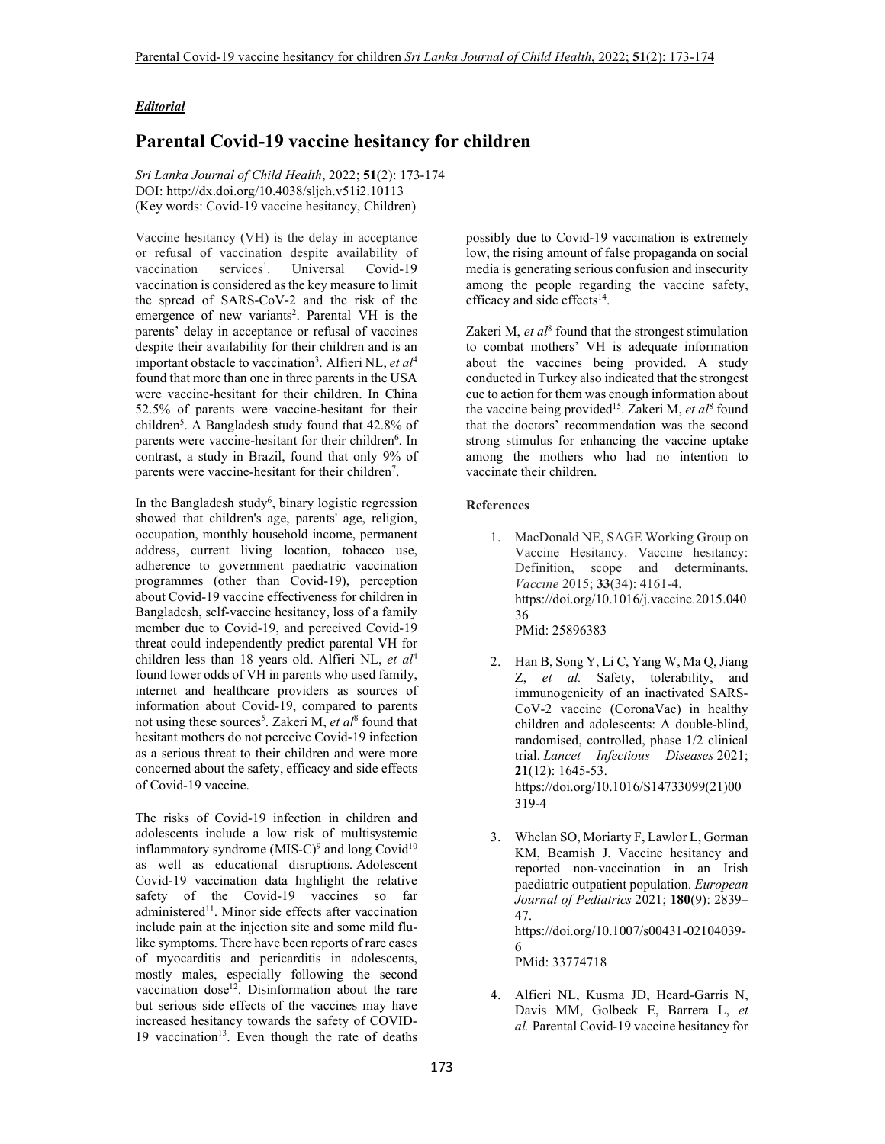## *Editorial*

## **Parental Covid-19 vaccine hesitancy for children**

*Sri Lanka Journal of Child Health*, 2022; **51**(2): 173-174 DOI: http://dx.doi.org/10.4038/sljch.v51i2.10113 (Key words: Covid-19 vaccine hesitancy, Children)

Vaccine hesitancy (VH) is the delay in acceptance or refusal of vaccination despite availability of  $vacination$  services<sup>1</sup>. . Universal Covid-19 vaccination is considered as the key measure to limit the spread of SARS-CoV-2 and the risk of the emergence of new variants<sup>2</sup>. Parental VH is the parents' delay in acceptance or refusal of vaccines despite their availability for their children and is an important obstacle to vaccination<sup>3</sup>. Alfieri NL, et al<sup>4</sup> found that more than one in three parents in the USA were vaccine-hesitant for their children. In China 52.5% of parents were vaccine-hesitant for their children<sup>5</sup>. A Bangladesh study found that 42.8% of parents were vaccine-hesitant for their children<sup>6</sup>. In contrast, a study in Brazil, found that only 9% of parents were vaccine-hesitant for their children<sup>7</sup>.

In the Bangladesh study<sup>6</sup>, binary logistic regression showed that children's age, parents' age, religion, occupation, monthly household income, permanent address, current living location, tobacco use, adherence to government paediatric vaccination programmes (other than Covid-19), perception about Covid-19 vaccine effectiveness for children in Bangladesh, self-vaccine hesitancy, loss of a family member due to Covid-19, and perceived Covid-19 threat could independently predict parental VH for children less than 18 years old. Alfieri NL, *et al*<sup>4</sup> found lower odds of VH in parents who used family, internet and healthcare providers as sources of information about Covid-19, compared to parents not using these sources<sup>5</sup>. Zakeri M, *et al*<sup>8</sup> found that hesitant mothers do not perceive Covid-19 infection as a serious threat to their children and were more concerned about the safety, efficacy and side effects of Covid-19 vaccine.

The risks of Covid-19 infection in children and adolescents include a low risk of multisystemic inflammatory syndrome (MIS-C)<sup>9</sup> and long Covid<sup>10</sup> as well as educational disruptions. Adolescent Covid-19 vaccination data highlight the relative safety of the Covid-19 vaccines so far administered<sup>11</sup>. Minor side effects after vaccination include pain at the injection site and some mild flulike symptoms. There have been reports of rare cases of myocarditis and pericarditis in adolescents, mostly males, especially following the second vaccination  $dose^{12}$ . Disinformation about the rare but serious side effects of the vaccines may have increased hesitancy towards the safety of COVID-19 vaccination $13$ . Even though the rate of deaths

possibly due to Covid-19 vaccination is extremely low, the rising amount of false propaganda on social media is generating serious confusion and insecurity among the people regarding the vaccine safety, efficacy and side effects<sup>14</sup>.

Zakeri M, et al<sup>8</sup> found that the strongest stimulation to combat mothers' VH is adequate information about the vaccines being provided. A study conducted in Turkey also indicated that the strongest cue to action for them was enough information about the vaccine being provided<sup>15</sup>. Zakeri M, et al<sup>8</sup> found that the doctors' recommendation was the second strong stimulus for enhancing the vaccine uptake among the mothers who had no intention to vaccinate their children.

## **References**

- 1. MacDonald NE, SAGE Working Group on Vaccine Hesitancy. Vaccine hesitancy: Definition, scope and determinants. *Vaccine* 2015; **33**(34): 4161-4. https://doi.org/10.1016/j.vaccine.2015.040 36 PMid: 25896383
- 2. Han B, Song Y, Li C, Yang W, Ma Q, Jiang Z, *et al.* Safety, tolerability, and immunogenicity of an inactivated SARS-CoV-2 vaccine (CoronaVac) in healthy children and adolescents: A double-blind, randomised, controlled, phase 1/2 clinical trial. *Lancet Infectious Diseases* 2021; **21**(12): 1645-53. https://doi.org/10.1016/S14733099(21)00 319-4
- 3. Whelan SO, Moriarty F, Lawlor L, Gorman KM, Beamish J. Vaccine hesitancy and reported non-vaccination in an Irish paediatric outpatient population. *European Journal of Pediatrics* 2021; **180**(9): 2839– 47. https://doi.org/10.1007/s00431-02104039- 6 PMid: 33774718
- 4. Alfieri NL, Kusma JD, Heard-Garris N, Davis MM, Golbeck E, Barrera L, *et al.* Parental Covid-19 vaccine hesitancy for